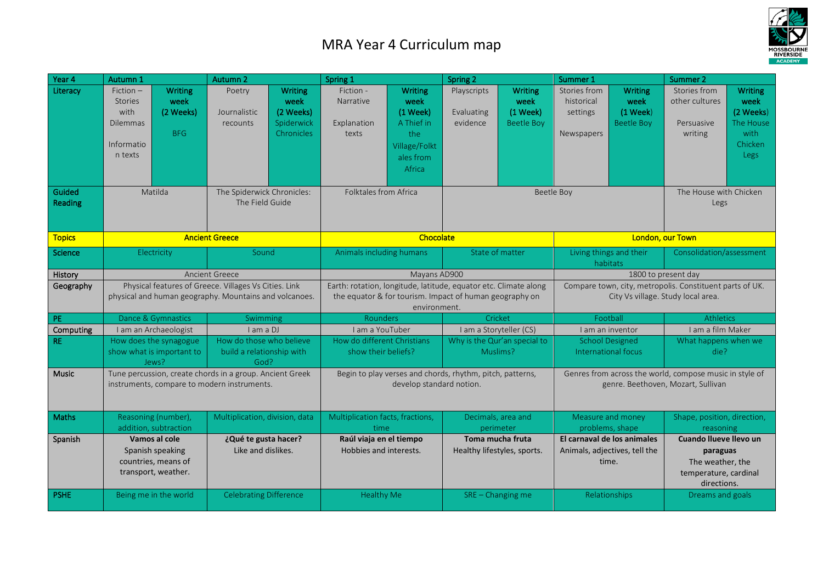## MRA Year 4 Curriculum map



| Year 4             | Autumn 1                                                                                                        |                                                                                 | Autumn 2                                                      |                                                                 | Spring 1                                                                                                                                    |                                                                                                 | Spring 2                                        |                                                           | Summer 1                                                                                       |                                                                       | Summer 2                                                                                       |                                                                                    |
|--------------------|-----------------------------------------------------------------------------------------------------------------|---------------------------------------------------------------------------------|---------------------------------------------------------------|-----------------------------------------------------------------|---------------------------------------------------------------------------------------------------------------------------------------------|-------------------------------------------------------------------------------------------------|-------------------------------------------------|-----------------------------------------------------------|------------------------------------------------------------------------------------------------|-----------------------------------------------------------------------|------------------------------------------------------------------------------------------------|------------------------------------------------------------------------------------|
| Literacy<br>Guided | $Fiction -$<br><b>Stories</b><br>with<br><b>Dilemmas</b><br>Informatio<br>n texts                               | <b>Writing</b><br>week<br>(2 Weeks)<br><b>BFG</b><br>Matilda                    | Poetry<br>Journalistic<br>recounts                            | <b>Writing</b><br>week<br>(2 Weeks)<br>Spiderwick<br>Chronicles | Fiction -<br>Narrative<br>Explanation<br>texts<br>Folktales from Africa                                                                     | <b>Writing</b><br>week<br>(1 Week)<br>A Thief in<br>the<br>Village/Folkt<br>ales from<br>Africa | Playscripts<br>Evaluating<br>evidence           | <b>Writing</b><br>week<br>$(1$ Week)<br><b>Beetle Boy</b> | Stories from<br>historical<br>settings<br>Newspapers<br>Beetle Boy                             | <b>Writing</b><br>week<br>$(1$ Week $)$<br><b>Beetle Boy</b>          | Stories from<br>other cultures<br>Persuasive<br>writing<br>The House with Chicken              | <b>Writing</b><br>week<br>(2 Weeks)<br>The House<br>with<br><b>Chicken</b><br>Legs |
| Reading            |                                                                                                                 |                                                                                 | The Spiderwick Chronicles:<br>The Field Guide                 |                                                                 |                                                                                                                                             |                                                                                                 |                                                 |                                                           |                                                                                                |                                                                       | Legs                                                                                           |                                                                                    |
| <b>Topics</b>      |                                                                                                                 |                                                                                 | <b>Ancient Greece</b>                                         |                                                                 | Chocolate                                                                                                                                   |                                                                                                 |                                                 |                                                           | London, our Town                                                                               |                                                                       |                                                                                                |                                                                                    |
| Science            | Electricity                                                                                                     |                                                                                 | Sound                                                         |                                                                 | Animals including humans                                                                                                                    |                                                                                                 | State of matter                                 |                                                           | Living things and their<br>habitats                                                            |                                                                       | Consolidation/assessment                                                                       |                                                                                    |
| History            | <b>Ancient Greece</b>                                                                                           |                                                                                 |                                                               |                                                                 | Mayans AD900                                                                                                                                |                                                                                                 |                                                 |                                                           | 1800 to present day                                                                            |                                                                       |                                                                                                |                                                                                    |
| Geography          | Physical features of Greece. Villages Vs Cities. Link<br>physical and human geography. Mountains and volcanoes. |                                                                                 |                                                               |                                                                 | Earth: rotation, longitude, latitude, equator etc. Climate along<br>the equator & for tourism. Impact of human geography on<br>environment. |                                                                                                 |                                                 |                                                           | Compare town, city, metropolis. Constituent parts of UK.<br>City Vs village. Study local area. |                                                                       |                                                                                                |                                                                                    |
| PE                 | Dance & Gymnastics                                                                                              |                                                                                 | Swimming                                                      |                                                                 | Rounders                                                                                                                                    |                                                                                                 | Cricket                                         |                                                           | Football                                                                                       |                                                                       | <b>Athletics</b>                                                                               |                                                                                    |
| Computing          | I am an Archaeologist                                                                                           |                                                                                 | I am a DJ                                                     |                                                                 | I am a YouTuber                                                                                                                             |                                                                                                 | I am a Storyteller (CS)                         |                                                           | I am an inventor                                                                               |                                                                       | I am a film Maker                                                                              |                                                                                    |
| <b>RE</b>          | How does the synagogue<br>show what is important to<br>Jews?                                                    |                                                                                 | How do those who believe<br>build a relationship with<br>God? |                                                                 | How do different Christians<br>show their beliefs?                                                                                          |                                                                                                 | Why is the Qur'an special to<br>Muslims?        |                                                           | <b>School Designed</b><br>International focus                                                  |                                                                       | What happens when we<br>die?                                                                   |                                                                                    |
| Music              | Tune percussion, create chords in a group. Ancient Greek<br>instruments, compare to modern instruments.         |                                                                                 |                                                               |                                                                 | Begin to play verses and chords, rhythm, pitch, patterns,<br>develop standard notion.                                                       |                                                                                                 |                                                 |                                                           | Genres from across the world, compose music in style of<br>genre. Beethoven, Mozart, Sullivan  |                                                                       |                                                                                                |                                                                                    |
| Maths              |                                                                                                                 | Reasoning (number),<br>addition, subtraction                                    | Multiplication, division, data                                |                                                                 | Multiplication facts, fractions,<br>time                                                                                                    |                                                                                                 | perimeter                                       | Decimals, area and                                        |                                                                                                | Measure and money<br>problems, shape                                  | Shape, position, direction,<br>reasoning                                                       |                                                                                    |
| Spanish            |                                                                                                                 | Vamos al cole<br>Spanish speaking<br>countries, means of<br>transport, weather. | ¿Qué te gusta hacer?<br>Like and dislikes.                    |                                                                 | Raúl viaja en el tiempo<br>Hobbies and interests.                                                                                           |                                                                                                 | Toma mucha fruta<br>Healthy lifestyles, sports. |                                                           |                                                                                                | El carnaval de los animales<br>Animals, adjectives, tell the<br>time. | Cuando Ilueve Ilevo un<br>paraguas<br>The weather, the<br>temperature, cardinal<br>directions. |                                                                                    |
| <b>PSHE</b>        |                                                                                                                 | Being me in the world                                                           | <b>Celebrating Difference</b>                                 |                                                                 | <b>Healthy Me</b>                                                                                                                           |                                                                                                 |                                                 | $SRE - Changing me$                                       |                                                                                                | Relationships                                                         | Dreams and goals                                                                               |                                                                                    |